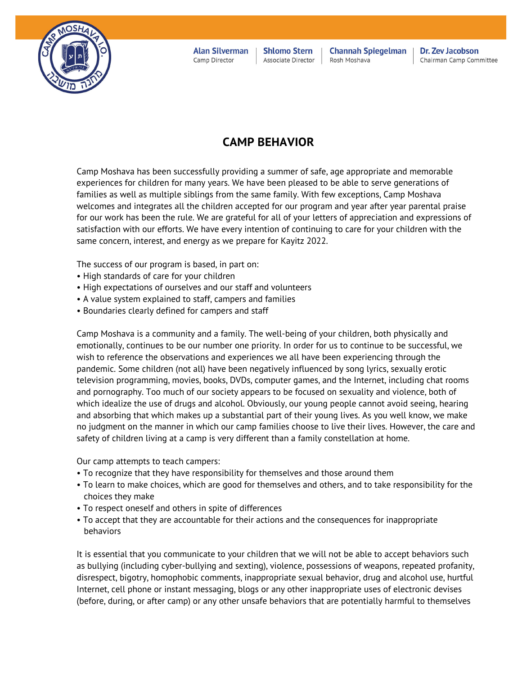

**Alan Silverman** Camp Director

**Shlomo Stern** Associate Director

**Channah Spiegelman** Rosh Moshava

Dr. Zev Jacobson Chairman Camp Committee

## **CAMP BEHAVIOR**

Camp Moshava has been successfully providing a summer of safe, age appropriate and memorable experiences for children for many years. We have been pleased to be able to serve generations of families as well as multiple siblings from the same family. With few exceptions, Camp Moshava welcomes and integrates all the children accepted for our program and year after year parental praise for our work has been the rule. We are grateful for all of your letters of appreciation and expressions of satisfaction with our efforts. We have every intention of continuing to care for your children with the same concern, interest, and energy as we prepare for Kayitz 2022.

The success of our program is based, in part on:

- High standards of care for your children
- High expectations of ourselves and our staff and volunteers
- A value system explained to staff, campers and families
- Boundaries clearly defined for campers and staff

Camp Moshava is a community and a family. The well-being of your children, both physically and emotionally, continues to be our number one priority. In order for us to continue to be successful, we wish to reference the observations and experiences we all have been experiencing through the pandemic. Some children (not all) have been negatively influenced by song lyrics, sexually erotic television programming, movies, books, DVDs, computer games, and the Internet, including chat rooms and pornography. Too much of our society appears to be focused on sexuality and violence, both of which idealize the use of drugs and alcohol. Obviously, our young people cannot avoid seeing, hearing and absorbing that which makes up a substantial part of their young lives. As you well know, we make no judgment on the manner in which our camp families choose to live their lives. However, the care and safety of children living at a camp is very different than a family constellation at home.

Our camp attempts to teach campers:

- To recognize that they have responsibility for themselves and those around them
- To learn to make choices, which are good for themselves and others, and to take responsibility for the choices they make
- To respect oneself and others in spite of differences
- To accept that they are accountable for their actions and the consequences for inappropriate behaviors

It is essential that you communicate to your children that we will not be able to accept behaviors such as bullying (including cyber-bullying and sexting), violence, possessions of weapons, repeated profanity, disrespect, bigotry, homophobic comments, inappropriate sexual behavior, drug and alcohol use, hurtful Internet, cell phone or instant messaging, blogs or any other inappropriate uses of electronic devises (before, during, or after camp) or any other unsafe behaviors that are potentially harmful to themselves